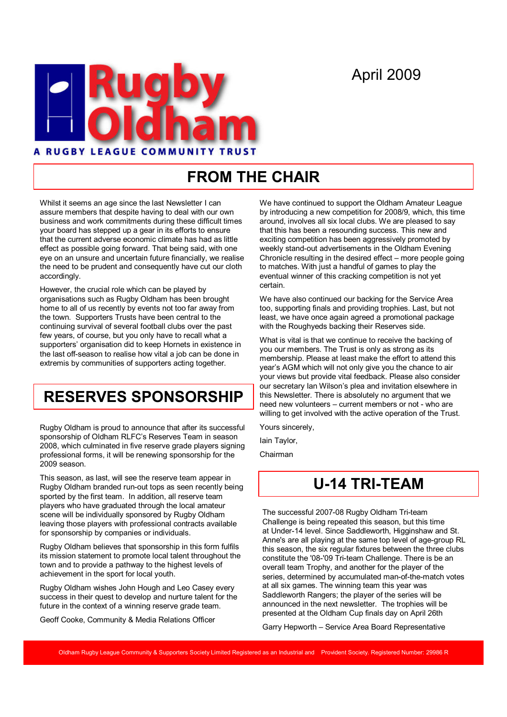# April 2009



# FROM THE CHAIR

Whilst it seems an age since the last Newsletter I can assure members that despite having to deal with our own business and work commitments during these difficult times your board has stepped up a gear in its efforts to ensure that the current adverse economic climate has had as little effect as possible going forward. That being said, with one eye on an unsure and uncertain future financially, we realise the need to be prudent and consequently have cut our cloth accordingly.

However, the crucial role which can be played by organisations such as Rugby Oldham has been brought home to all of us recently by events not too far away from the town. Supporters Trusts have been central to the continuing survival of several football clubs over the past few years, of course, but you only have to recall what a supporters' organisation did to keep Hornets in existence in the last off-season to realise how vital a job can be done in extremis by communities of supporters acting together.

## RESERVES SPONSORSHIP

Rugby Oldham is proud to announce that after its successful sponsorship of Oldham RLFC's Reserves Team in season 2008, which culminated in five reserve grade players signing professional forms, it will be renewing sponsorship for the 2009 season.

This season, as last, will see the reserve team appear in Rugby Oldham branded run-out tops as seen recently being sported by the first team. In addition, all reserve team players who have graduated through the local amateur scene will be individually sponsored by Rugby Oldham leaving those players with professional contracts available for sponsorship by companies or individuals.

Rugby Oldham believes that sponsorship in this form fulfils its mission statement to promote local talent throughout the town and to provide a pathway to the highest levels of achievement in the sport for local youth.

Rugby Oldham wishes John Hough and Leo Casey every success in their quest to develop and nurture talent for the future in the context of a winning reserve grade team.

Geoff Cooke, Community & Media Relations Officer

We have continued to support the Oldham Amateur League by introducing a new competition for 2008/9, which, this time around, involves all six local clubs. We are pleased to say that this has been a resounding success. This new and exciting competition has been aggressively promoted by weekly stand-out advertisements in the Oldham Evening Chronicle resulting in the desired effect – more people going to matches. With just a handful of games to play the eventual winner of this cracking competition is not yet certain.

We have also continued our backing for the Service Area too, supporting finals and providing trophies. Last, but not least, we have once again agreed a promotional package with the Roughyeds backing their Reserves side.

What is vital is that we continue to receive the backing of you our members. The Trust is only as strong as its membership. Please at least make the effort to attend this year's AGM which will not only give you the chance to air your views but provide vital feedback. Please also consider our secretary Ian Wilson's plea and invitation elsewhere in this Newsletter. There is absolutely no argument that we need new volunteers – current members or not - who are willing to get involved with the active operation of the Trust.

Yours sincerely,

Iain Taylor,

Chairman

### U-14 TRI-TEAM

The successful 2007-08 Rugby Oldham Tri-team Challenge is being repeated this season, but this time at Under-14 level. Since Saddleworth, Higginshaw and St. Anne's are all playing at the same top level of age-group RL this season, the six regular fixtures between the three clubs constitute the '08-'09 Tri-team Challenge. There is be an overall team Trophy, and another for the player of the series, determined by accumulated man-of-the-match votes at all six games. The winning team this year was Saddleworth Rangers; the player of the series will be announced in the next newsletter. The trophies will be presented at the Oldham Cup finals day on April 26th

Garry Hepworth – Service Area Board Representative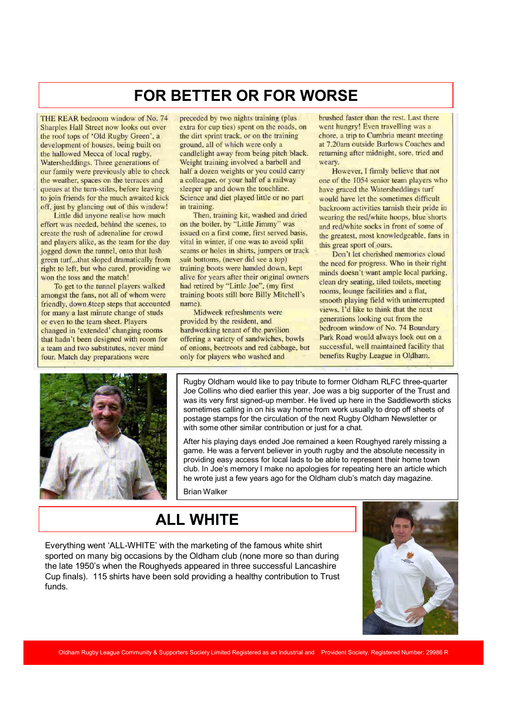### FOR BETTER OR FOR WORSE

THE REAR bedroom window of No. 74 Sharples Hall Street now looks out over the roof tops of 'Old Rugby Green', a development of houses, being built on the hallowed Mecca of local rugby, Watersheddings. Three generations of our family were previously able to check the weather, spaces on the terraces and queues at the turn-stiles, before leaving to join friends for the much awaited kick off, just by glancing out of this window!

Little did anyone realise how much effort was needed, behind the scenes, to create the rush of adrenaline for crowd and players alike, as the team for the day jogged down the tunnel, onto that lush green turf...that sloped dramatically from right to left, but who cared, providing we won the toss and the match!

To get to the tunnel players walked amongst the fans, not all of whom were friendly, down steep steps that accounted for many a last minute change of studs or even to the team sheet. Players changed in 'extended' changing rooms that hadn't been designed with room for a team and two substitutes, never mind four. Match day preparations were

preceded by two nights training (plus) extra for cup ties) spent on the roads, on the dirt sprint track, or on the training ground, all of which were only a candlelight away from being pitch black. Weight training involved a barbell and half a dozen weights or you could carry a colleague, or your half of a railway sleeper up and down the touchline. Science and diet played little or no part in training.

Then, training kit, washed and dried on the boiler, by "Little Jimmy" was issued on a first come, first served basis. vital in winter, if one was to avoid split seams or holes in shirts, jumpers or track suit bottoms. (never did see a top) training boots were handed down, kept alive for years after their original owners had retired by "Little Joe". (my first training boots still bore Billy Mitchell's name).

Midweek refreshments were provided by the resident, and hardworking tenant of the pavilion offering a variety of sandwiches, bowls of onions, beetroots and red cabbage, but only for players who washed and

brushed faster than the rest. Last there went hungry! Even travelling was a chore, a trip to Cumbria meant meeting at 7.20am outside Barlows Coaches and returning after midnight, sore, tried and weary.

However, I firmly believe that not one of the 1054 senior team players who have graced the Watersheddings turf would have let the sometimes difficult backroom activities tarnish their pride in wearing the red/white hoops, blue shorts and red/white socks in front of some of the greatest, most knowledgeable, fans in this great sport of ours.

Don't let cherished memories cloud the need for progress. Who in their right minds doesn't want ample local parking. clean dry seating, tiled toilets, meeting rooms, lounge facilities and a flat, smooth playing field with uninterrupted views. I'd like to think that the next generations looking out from the bedroom window of No. 74 Boundary Park Road would always look out on a successful, well maintained facility that benefits Rugby League in Oldham.



Rugby Oldham would like to pay tribute to former Oldham RLFC three-quarter Joe Collins who died earlier this year. Joe was a big supporter of the Trust and was its very first signed-up member. He lived up here in the Saddleworth sticks sometimes calling in on his way home from work usually to drop off sheets of postage stamps for the circulation of the next Rugby Oldham Newsletter or with some other similar contribution or just for a chat.

After his playing days ended Joe remained a keen Roughyed rarely missing a game. He was a fervent believer in youth rugby and the absolute necessity in providing easy access for local lads to be able to represent their home town club. In Joe's memory I make no apologies for repeating here an article which he wrote just a few years ago for the Oldham club's match day magazine.

Brian Walker

### ALL WHITE

Everything went 'ALL-WHITE' with the marketing of the famous white shirt sported on many big occasions by the Oldham club (none more so than during the late 1950's when the Roughyeds appeared in three successful Lancashire Cup finals). 115 shirts have been sold providing a healthy contribution to Trust funds.

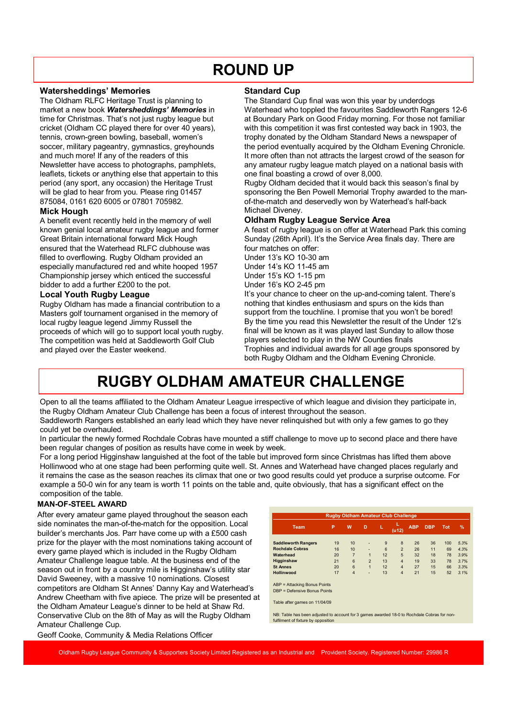## ROUND UP

#### Watersheddings' Memories

The Oldham RLFC Heritage Trust is planning to market a new book Watersheddings' Memories in time for Christmas. That's not just rugby league but cricket (Oldham CC played there for over 40 years), tennis, crown-green bowling, baseball, women's soccer, military pageantry, gymnastics, greyhounds and much more! If any of the readers of this Newsletter have access to photographs, pamphlets, leaflets, tickets or anything else that appertain to this period (any sport, any occasion) the Heritage Trust will be glad to hear from you. Please ring 01457 875084, 0161 620 6005 or 07801 705982.

#### Mick Hough

A benefit event recently held in the memory of well known genial local amateur rugby league and former Great Britain international forward Mick Hough ensured that the Waterhead RLFC clubhouse was filled to overflowing. Rugby Oldham provided an especially manufactured red and white hooped 1957 Championship jersey which enticed the successful bidder to add a further £200 to the pot.

#### Local Youth Rugby League

Rugby Oldham has made a financial contribution to a Masters golf tournament organised in the memory of local rugby league legend Jimmy Russell the proceeds of which will go to support local youth rugby. The competition was held at Saddleworth Golf Club and played over the Easter weekend.

#### Standard Cup

The Standard Cup final was won this year by underdogs Waterhead who toppled the favourites Saddleworth Rangers 12-6 at Boundary Park on Good Friday morning. For those not familiar with this competition it was first contested way back in 1903, the trophy donated by the Oldham Standard News a newspaper of the period eventually acquired by the Oldham Evening Chronicle. It more often than not attracts the largest crowd of the season for any amateur rugby league match played on a national basis with one final boasting a crowd of over 8,000.

Rugby Oldham decided that it would back this season's final by sponsoring the Ben Powell Memorial Trophy awarded to the manof-the-match and deservedly won by Waterhead's half-back Michael Diveney.

#### Oldham Rugby League Service Area

A feast of rugby league is on offer at Waterhead Park this coming Sunday (26th April). It's the Service Area finals day. There are four matches on offer:

Under 13's KO 10-30 am Under 14's KO 11-45 am Under 15's KO 1-15 pm Under 16's KO 2-45 pm

It's your chance to cheer on the up-and-coming talent. There's nothing that kindles enthusiasm and spurs on the kids than support from the touchline. I promise that you won't be bored! By the time you read this Newsletter the result of the Under 12's final will be known as it was played last Sunday to allow those players selected to play in the NW Counties finals Trophies and individual awards for all age groups sponsored by

both Rugby Oldham and the Oldham Evening Chronicle.

# RUGBY OLDHAM AMATEUR CHALLENGE

Open to all the teams affiliated to the Oldham Amateur League irrespective of which league and division they participate in, the Rugby Oldham Amateur Club Challenge has been a focus of interest throughout the season.

Saddleworth Rangers established an early lead which they have never relinquished but with only a few games to go they could yet be overhauled.

In particular the newly formed Rochdale Cobras have mounted a stiff challenge to move up to second place and there have been regular changes of position as results have come in week by week.

For a long period Higginshaw languished at the foot of the table but improved form since Christmas has lifted them above Hollinwood who at one stage had been performing quite well. St. Annes and Waterhead have changed places regularly and it remains the case as the season reaches its climax that one or two good results could yet produce a surprise outcome. For example a 50-0 win for any team is worth 11 points on the table and, quite obviously, that has a significant effect on the composition of the table.

#### MAN-OF-STEEL AWARD

After every amateur game played throughout the season each side nominates the man-of-the-match for the opposition. Local builder's merchants Jos. Parr have come up with a £500 cash prize for the player with the most nominations taking account of every game played which is included in the Rugby Oldham Amateur Challenge league table. At the business end of the season out in front by a country mile is Higginshaw's utility star David Sweeney, with a massive 10 nominations. Closest competitors are Oldham St Annes' Danny Kay and Waterhead's Andrew Cheetham with five apiece. The prize will be presented at the Oldham Amateur League's dinner to be held at Shaw Rd. Conservative Club on the 8th of May as will the Rugby Oldham Amateur Challenge Cup.

| <b>Rugby Oldham Amateur Club Challenge</b> |    |                |                |    |                         |            |            |     |      |
|--------------------------------------------|----|----------------|----------------|----|-------------------------|------------|------------|-----|------|
| Team                                       | P  | W              | D              | L  | L<br>(u12)              | <b>ABP</b> | <b>DBP</b> | Tot | %    |
|                                            |    |                |                |    |                         |            |            |     |      |
| <b>Saddleworth Rangers</b>                 | 19 | 10             | ۰              | 9  | 8                       | 26         | 36         | 100 | 5.3% |
| <b>Rochdale Cobras</b>                     | 16 | 10             | ۰              | 6  | $\overline{2}$          | 26         | 11         | 69  | 4.3% |
| Waterhead                                  | 20 | $\overline{7}$ | 1              | 12 | 5                       | 32         | 18         | 78  | 3.9% |
| Higginshaw                                 | 21 | 6              | $\overline{2}$ | 13 | $\overline{\mathbf{4}}$ | 19         | 33         | 78  | 3.7% |
| <b>St Annes</b>                            | 20 | 6              | $\overline{1}$ | 12 | $\overline{\mathbf{4}}$ | 27         | 15         | 66  | 3.3% |
| Hollinwood                                 | 17 | $\overline{4}$ | -              | 13 | $\overline{4}$          | 21         | 15         | 52  | 3.1% |

ABP = Attacking Bonus Points DBP = Defensive Bonus Points

Table after games on 11/04/09

NB: Table has been adjusted to account for 3 games awarded 18-0 to Rochdale Cobras for nonhent of fixture by opposition

Geoff Cooke, Community & Media Relations Officer